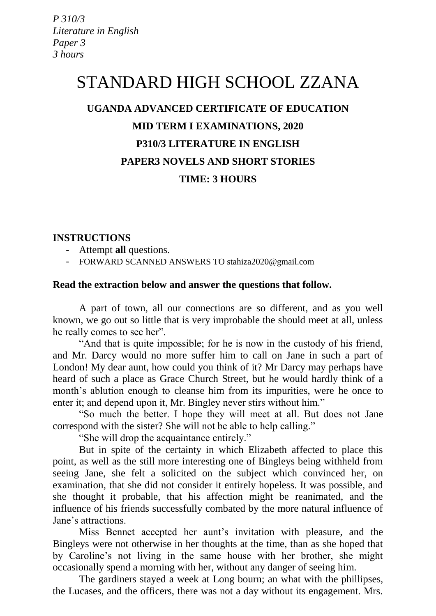*P 310/3 Literature in English Paper 3 3 hours* 

# STANDARD HIGH SCHOOL ZZANA

## **UGANDA ADVANCED CERTIFICATE OF EDUCATION MID TERM I EXAMINATIONS, 2020 P310/3 LITERATURE IN ENGLISH PAPER3 NOVELS AND SHORT STORIES TIME: 3 HOURS**

#### **INSTRUCTIONS**

- Attempt **all** questions.
- FORWARD SCANNED ANSWERS TO stahiza2020@gmail.com

#### **Read the extraction below and answer the questions that follow.**

A part of town, all our connections are so different, and as you well known, we go out so little that is very improbable the should meet at all, unless he really comes to see her".

"And that is quite impossible; for he is now in the custody of his friend, and Mr. Darcy would no more suffer him to call on Jane in such a part of London! My dear aunt, how could you think of it? Mr Darcy may perhaps have heard of such a place as Grace Church Street, but he would hardly think of a month's ablution enough to cleanse him from its impurities, were he once to enter it; and depend upon it, Mr. Bingley never stirs without him."

"So much the better. I hope they will meet at all. But does not Jane correspond with the sister? She will not be able to help calling."

"She will drop the acquaintance entirely."

But in spite of the certainty in which Elizabeth affected to place this point, as well as the still more interesting one of Bingleys being withheld from seeing Jane, she felt a solicited on the subject which convinced her, on examination, that she did not consider it entirely hopeless. It was possible, and she thought it probable, that his affection might be reanimated, and the influence of his friends successfully combated by the more natural influence of Jane's attractions.

Miss Bennet accepted her aunt's invitation with pleasure, and the Bingleys were not otherwise in her thoughts at the time, than as she hoped that by Caroline's not living in the same house with her brother, she might occasionally spend a morning with her, without any danger of seeing him.

The gardiners stayed a week at Long bourn; an what with the phillipses, the Lucases, and the officers, there was not a day without its engagement. Mrs.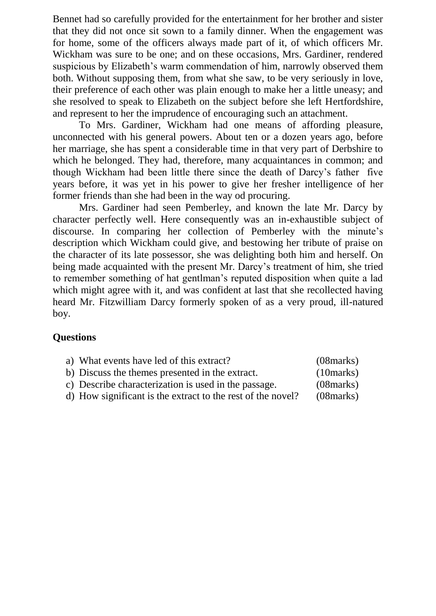Bennet had so carefully provided for the entertainment for her brother and sister that they did not once sit sown to a family dinner. When the engagement was for home, some of the officers always made part of it, of which officers Mr. Wickham was sure to be one; and on these occasions, Mrs. Gardiner, rendered suspicious by Elizabeth's warm commendation of him, narrowly observed them both. Without supposing them, from what she saw, to be very seriously in love, their preference of each other was plain enough to make her a little uneasy; and she resolved to speak to Elizabeth on the subject before she left Hertfordshire, and represent to her the imprudence of encouraging such an attachment.

To Mrs. Gardiner, Wickham had one means of affording pleasure, unconnected with his general powers. About ten or a dozen years ago, before her marriage, she has spent a considerable time in that very part of Derbshire to which he belonged. They had, therefore, many acquaintances in common; and though Wickham had been little there since the death of Darcy's father five years before, it was yet in his power to give her fresher intelligence of her former friends than she had been in the way od procuring.

Mrs. Gardiner had seen Pemberley, and known the late Mr. Darcy by character perfectly well. Here consequently was an in-exhaustible subject of discourse. In comparing her collection of Pemberley with the minute's description which Wickham could give, and bestowing her tribute of praise on the character of its late possessor, she was delighting both him and herself. On being made acquainted with the present Mr. Darcy's treatment of him, she tried to remember something of hat gentlman's reputed disposition when quite a lad which might agree with it, and was confident at last that she recollected having heard Mr. Fitzwilliam Darcy formerly spoken of as a very proud, ill-natured boy.

### **Questions**

| a) What events have led of this extract?                    | (08 marks) |
|-------------------------------------------------------------|------------|
| b) Discuss the themes presented in the extract.             | (10 marks) |
| c) Describe characterization is used in the passage.        | (08 marks) |
| d) How significant is the extract to the rest of the novel? | (08 marks) |
|                                                             |            |